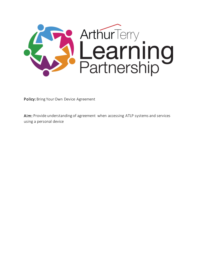

Policy: Bring Your Own Device Agreement

Aim: Provide understanding of agreement when accessing ATLP systems and services using a personal device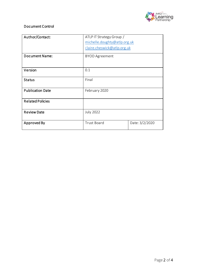

## Document Control

| Author/Contact:         | ATLP IT Strategy Group /     |                |
|-------------------------|------------------------------|----------------|
|                         | michelle.doughty@atlp.org.uk |                |
|                         | claire.cheswick@atlp.org.uk  |                |
| <b>Document Name:</b>   | <b>BYOD Agreement</b>        |                |
| Version                 | 0.1                          |                |
|                         |                              |                |
| <b>Status</b>           | Final                        |                |
|                         |                              |                |
| <b>Publication Date</b> | February 2020                |                |
|                         |                              |                |
| <b>Related Policies</b> |                              |                |
| <b>Review Date</b>      | <b>July 2022</b>             |                |
| Approved By             | <b>Trust Board</b>           | Date: 3/2/2020 |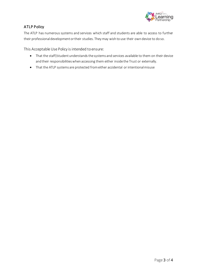

## ATLP Policy

The ATLP has numerous systems and services which staff and students are able to access to further their professional development or their studies. They may wish to use their own device to do so.

This Acceptable Use Policy is intended to ensure:

- That the staff/student understands the systems and services available to them on their device and their responsibilities when accessing them either inside the Trust or externally.
- That the ATLP systems are protected from either accidental or intentional misuse